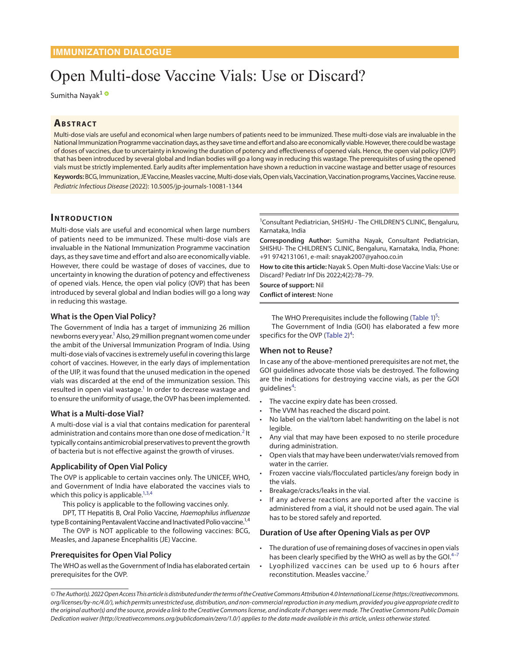# Open Multi-dose Vaccine Vials: Use or Discard?

Sumitha Nayak<sup>1</sup>

# **ABSTRACT**

Multi-dose vials are useful and economical when large numbers of patients need to be immunized. These multi-dose vials are invaluable in the National Immunization Programme vaccination days, as they save time and effort and also are economically viable. However, there could be wastage of doses of vaccines, due to uncertainty in knowing the duration of potency and effectiveness of opened vials. Hence, the open vial policy (OVP) that has been introduced by several global and Indian bodies will go a long way in reducing this wastage. The prerequisites of using the opened vials must be strictly implemented. Early audits after implementation have shown a reduction in vaccine wastage and better usage of resources **Keywords:** BCG, Immunization, JE Vaccine, Measles vaccine, Multi-dose vials, Open vials, Vaccination, Vaccination programs, Vaccines, Vaccine reuse. *Pediatric Infectious Disease* (2022): 10.5005/jp-journals-10081-1344

## **INTRODUCTION**

Multi-dose vials are useful and economical when large numbers of patients need to be immunized. These multi-dose vials are invaluable in the National Immunization Programme vaccination days, as they save time and effort and also are economically viable. However, there could be wastage of doses of vaccines, due to uncertainty in knowing the duration of potency and effectiveness of opened vials. Hence, the open vial policy (OVP) that has been introduced by several global and Indian bodies will go a long way in reducing this wastage.

## **What is the Open Vial Policy?**

The Government of India has a target of immunizing 26 million newborns every year.<sup>1</sup> Also, 29 million pregnant women come under the ambit of the Universal Immunization Program of India. Using multi-dose vials of vaccines is extremely useful in covering this large cohort of vaccines. However, in the early days of implementation of the UIP, it was found that the unused medication in the opened vials was discarded at the end of the immunization session. This resulted in open vial wastage.<sup>1</sup> In order to decrease wastage and to ensure the uniformity of usage, the OVP has been implemented.

#### **What is a Multi-dose Vial?**

A multi-dose vial is a vial that contains medication for parenteral administration and contains more than one dose of medication.<sup>[2](#page-1-5)</sup> It typically contains antimicrobial preservatives to prevent the growth of bacteria but is not effective against the growth of viruses.

#### **Applicability of Open Vial Policy**

The OVP is applicable to certain vaccines only. The UNICEF, WHO, and Government of India have elaborated the vaccines vials to which this policy is applicable.<sup>1[,3,](#page-1-6)[4](#page-1-2)</sup>

This policy is applicable to the following vaccines only.

DPT, TT Hepatitis B, Oral Polio Vaccine, *Haemophilus influenzae* type B containing Pentavalent Vaccine and Inactivated Polio vaccine.<sup>1,4</sup>

The OVP is NOT applicable to the following vaccines: BCG, Measles, and Japanese Encephalitis (JE) Vaccine.

#### **Prerequisites for Open Vial Policy**

The WHO as well as the Government of India has elaborated certain prerequisites for the OVP.

1 Consultant Pediatrician, SHISHU - The CHILDREN'S CLINIC, Bengaluru, Karnataka, India

**Corresponding Author:** Sumitha Nayak, Consultant Pediatrician, SHISHU- The CHILDREN'S CLINIC, Bengaluru, Karnataka, India, Phone: +91 9742131061, e-mail: snayak2007@yahoo.co.in

**How to cite this article:** Nayak S. Open Multi-dose Vaccine Vials: Use or Discard? Pediatr Inf Dis 2022;4(2):78–79.

**Source of support:** Nil

**Conflict of interest**: None

<span id="page-0-6"></span><span id="page-0-5"></span>The WHO Prerequisites include the following ([Table 1\)](#page-1-0)<sup>5</sup> The Government of India (GOI) has elaborated a few more specifics for the OVP (Table  $2)^4$  $2)^4$ :

#### <span id="page-0-0"></span>**When not to Reuse?**

In case any of the above-mentioned prerequisites are not met, the GOI guidelines advocate those vials be destroyed. The following are the indications for destroying vaccine vials, as per the GOI guidelines<sup>[4](#page-1-2)</sup>:

- The vaccine expiry date has been crossed.
- The VVM has reached the discard point.
- No label on the vial/torn label: handwriting on the label is not legible.
- <span id="page-0-1"></span>• Any vial that may have been exposed to no sterile procedure during administration.
- Open vials that may have been underwater/vials removed from water in the carrier.
- Frozen vaccine vials/flocculated particles/any foreign body in the vials.
- <span id="page-0-3"></span>• Breakage/cracks/leaks in the vial.
- <span id="page-0-2"></span>• If any adverse reactions are reported after the vaccine is administered from a vial, it should not be used again. The vial has to be stored safely and reported.

#### **Duration of Use after Opening Vials as per OVP**

- The duration of use of remaining doses of vaccines in open vials has been clearly specified by the WHO as well as by the GOI.<sup>[4](#page-1-2)-7</sup>
- <span id="page-0-4"></span>• Lyophilized vaccines can be used up to 6 hours after reconstitution. Measles vaccine.<sup>7</sup>

*© The Author(s). 2022 Open Access This article is distributed under the terms of the Creative Commons Attribution 4.0 International License (https://creativecommons. org/licenses/by-nc/4.0/), which permits unrestricted use, distribution, and non-commercial reproduction in any medium, provided you give appropriate credit to the original author(s) and the source, provide a link to the Creative Commons license, and indicate if changes were made. The Creative Commons Public Domain Dedication waiver (http://creativecommons.org/publicdomain/zero/1.0/) applies to the data made available in this article, unless otherwise stated.*